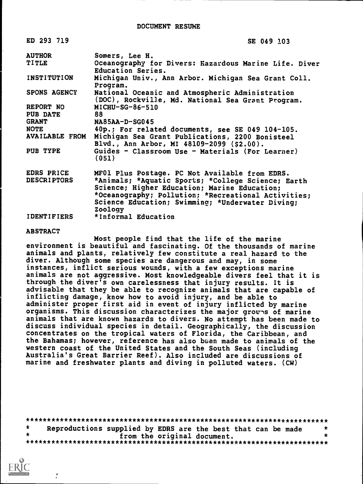| ED 293 719                    | SE 049 103                                                                                                                                                                                                               |
|-------------------------------|--------------------------------------------------------------------------------------------------------------------------------------------------------------------------------------------------------------------------|
| <b>AUTHOR</b><br><b>TITLE</b> | Somers, Lee H.<br>Oceanography for Divers: Kazardous Marine Life. Diver                                                                                                                                                  |
|                               | Education Series.                                                                                                                                                                                                        |
| INSTITUTION                   | Michigan Univ., Ann Arbor. Michigan Sea Grant Coll.<br>Program.                                                                                                                                                          |
| <b>SPONS AGENCY</b>           | National Oceanic and Atmospheric Administration<br>(DOC), Rockville, Md. National Sea Grant Program.                                                                                                                     |
| REPORT NO                     | $MICHU-SG-86-510$                                                                                                                                                                                                        |
| PUB DATE                      | 88                                                                                                                                                                                                                       |
| <b>GRANT</b>                  | $NA85AA-D-SG045$                                                                                                                                                                                                         |
| <b>NOTE</b>                   | 40p.; For related documents, see SE 049 104-105.                                                                                                                                                                         |
| <b>AVAILABLE FROM</b>         | Michigan Sea Grant Publications, 2200 Bonisteel<br>Blvd., Ann Arbor, MI 48109-2099 (\$2.00).                                                                                                                             |
| PUB TYPE                      | Guides - Classroom Use - Materials (For Learner)<br>(051)                                                                                                                                                                |
| EDRS PRICE                    | MF01 Plus Postage. PC Not Available from EDRS.                                                                                                                                                                           |
| <b>DESCRIPTORS</b>            | *Animals; *Aquatic Sports; *College Science; Earth<br>Science; Higher Education; Marine Education;<br>*Oceanography; Pollution; *Recreational Activities;<br>Science Education; Swimming; *Underwater Diving;<br>Zoology |

IDENTIFIERS \*Informal Education

#### ABSTRACT

Most people find that the life of the marine environment is beautiful and fascinating. Of the thousands of marine animals and plants, relatively few constitute a real hazard to the diver. Although some species are dangerous and may, in some instances, inflict serious wounds, with a few exceptions marine animals are not aggressive. Most knowledgeable divers feel that it is through the diver's own carelessness that injury results. It is advisable that they be able to recognize animals that are capable of inflicting damage, know how to avoid injury, and be able to administer proper first aid in event of injury inflicted by marine organisms. This discussion characterizes the major groves of marine animals that are known hazards to divers. No attempt has been made to discuss individual species in detail. Geographically, the discussion concentrates on the tropical waters of Florida, the Caribbean, and the Bahamas; however, reference has also been made to animals of the western coast of the United States and the South Seas (including Australia's Great Barrier Reef). Also included are discussions of marine and freshwater plants and diving in polluted waters. (CW)

|  | Reproductions supplied by EDRS are the best that can be made | $\ast$ |  |  |  |  |
|--|--------------------------------------------------------------|--------|--|--|--|--|
|  | from the original document.                                  |        |  |  |  |  |
|  |                                                              |        |  |  |  |  |

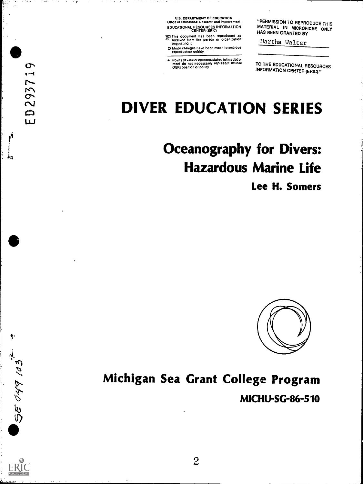U.S. DEPARTMENT OF EDUCATION Office of Educational Research and Improvement

 $\sim$   $\sim$  $\mathbf{v} = \nabla \mathbf{A}$ 

 $\sim$ 

**SALE** 

 $\sigma$  $\ddot{\phantom{a}}$ 

2937

 $\qquad \qquad \Box$  $\mathbf{L}$ 

ţ.

**BE 049 103.** 

EDUCATIONAL RESOURCES INFORMATION MA<br>CENTER (ERIC) HALL

yl This document has been reproduced as ". received from the person or organization originating it.

O Minor changes have been made to improve<br>reproduction quality.

Points of view or opinions stated in this docu-<br>ment ido inot inecessarily represent lofficial<br>OERI position or policy

"PERMISSION TO REPRODUCE THIS MATERIAL IN MICROFICHE ONLY HAS BEEN GRANTED BY

Martha Walter

TO THE EDUCATIONAL RESOURCES INFORMATION CENTER (ERIC)."

# DIVER EDUCATION SERIES

# Oceanography for Divers: Hazardous Marine Life Lee H. Somers



# Michigan Sea Grant College Program

M1CHU-SG-86-510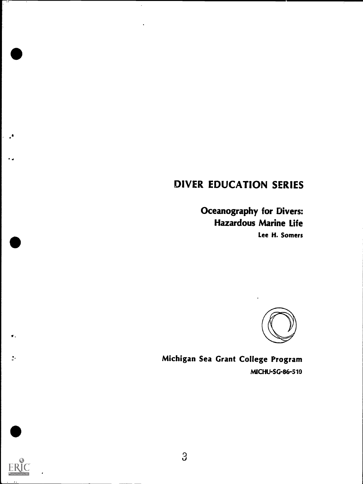# DIVER EDUCATION SERIES

 $\bar{\star}$ 

Oceanography for Divers: Hazardous Marine Life Lee H. Somers



Michigan Sea Grant College Program MICHU-SG-86-510



 $\frac{1}{2}$  .

.,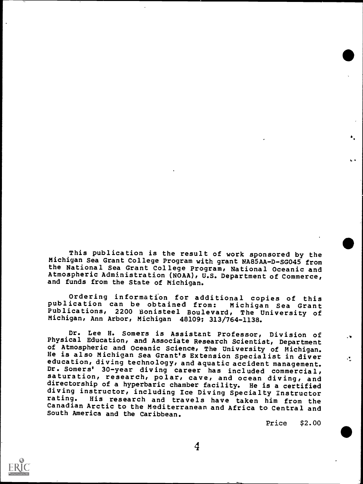This publication is the result of work sponsored by the Michigan Sea Grant College Program with grant NA85AA-D-SG045 from the National Sea Grant College Program, National Oceanic and Atmospheric Administration (NOAH), U.S. Department of Commerce, and funds from the State of Michigan.

Ordering information for additional copies of this publication can be obtained from: Michigan Sea Grant Publications, 2200 Bonisteel Boulevard, The University of Michigan, Ann Arbor, Michigan 48109; 313/764-1138.

Dr. Lee H. Somers is Assistant Professor, Division of Physical Education, and Associate Research Scientist, Department<br>of Atmospheric and Oceanic Science, The University of Michigan. He is also Michigan Sea Grant's Extension Specialist in diver<br>education, diving technology, and aquatic accident management. Dr. Somers' 30-year diving career has included commercial, saturation, research, polar, cave, and ocean diving, and directorship of a hyperbaric chamber facility. He is a certified diving instructor, including Ice Diving Specialty Instructor<br>rating. His research and travels have taken him from the His research and travels have taken him from the Canadian Arctic to the Mediterranean and Africa to Central and South America and the Caribbean.

Price \$2.00

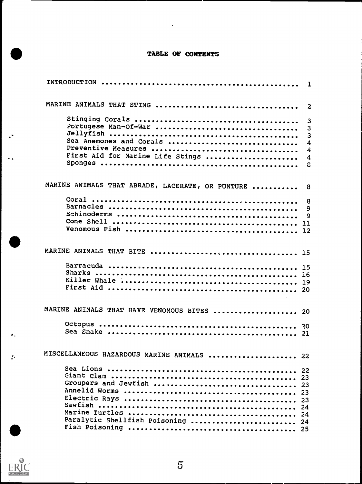# TABLE OF CONTENTS

 $\mathbb{Z}^2$ 

|                                                  | 1      |
|--------------------------------------------------|--------|
| MARINE ANIMALS THAT STING                        | 2      |
|                                                  | 3      |
| Portugese Man-Of-War                             | 3      |
|                                                  | 3      |
| Sea Anemones and Corals                          | 4      |
|                                                  | 4      |
| First Aid for Marine Life Stings                 | 4      |
|                                                  | 8      |
| MARINE ANIMALS THAT ABRADE, LACERATE, OR PUNTURE | 8      |
|                                                  |        |
|                                                  | 8<br>9 |
|                                                  | 9      |
|                                                  |        |
|                                                  |        |
|                                                  |        |
|                                                  |        |
|                                                  |        |
|                                                  |        |
|                                                  |        |
|                                                  |        |
|                                                  |        |
| MARINE ANIMALS THAT HAVE VENOMOUS BITES  20      |        |
|                                                  |        |
|                                                  |        |
|                                                  |        |
| MISCELLANEOUS HAZARDOUS MARINE ANIMALS  22       |        |
|                                                  |        |
|                                                  |        |
| Groupers and Jewfish  23                         |        |
|                                                  |        |
|                                                  | 23     |
|                                                  |        |
|                                                  |        |
| Paralytic Shellfish Poisoning  24                |        |
|                                                  |        |
|                                                  |        |



 $\bullet$  .

 $\mathbf{r}$ 

 $\ddot{\phantom{a}}$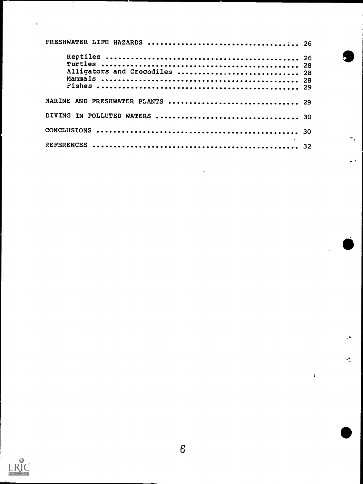| Alligators and Crocodiles  28    |  |  |
|----------------------------------|--|--|
| MARINE AND FRESHWATER PLANTS  29 |  |  |
|                                  |  |  |
|                                  |  |  |
|                                  |  |  |

l,

 $\frac{1}{2}$ 

 $\pmb{\cdot}$ 



 $\ddot{\phantom{1}}$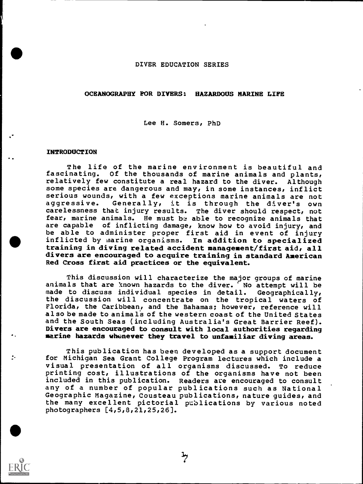#### DIVER EDUCATION SERIES

# OCEANOGRAPHY FOR DIVERS: HAZARDOUS MARINE LIFE

Lee H. Somers, PhD

#### INTRODUCTION

The life of the marine environment is beautiful and fascinating. Of the thousands of marine animals and plants, relatively few constitute a real hazard to the diver. Although some species are dangerous and may, in some instances, inflict serious wounds, with a few exceptions marine animals are not Generally, it is through the diver's own carelessness that injury results. The diver should respect, not fear, marine animals. He must be able to recognize animals that are capable of inflicting damage, know how to avoid injury, and be able to administer proper first aid in event of injury inflicted by marine organisms. In addition to specialized training in diving related accident management/first aid, all divers are encouraged to acquire training in standard American Red Cross first aid practices or the equivalent.

This discussion will characterize the major groups of marine animals that are known hazards to the diver. 'No attempt will be made to discuss individual species in detail. Geographically, the discussion will concentrate on the tropical waters of Florida, the Caribbean, and the Bahamas; however, reference will also be made to animals of the western coast of the United States and the South Seas (including Australia's Great Barrier Reef). Divers are encouraged to consult with local authorities regarding marine hazards whenever they travel to unfamiliar diving areas.

This publication has been developed as a support document for Michigan Sea Grant College Program lectures which include a visual presentation of all organisms discussed. To reduce printing cost, illustrations of the organisms have not been included in this publication. Readers ate encouraged to consult any of a number of popular publications such as National Geographic Magazine, Cousteau publications, nature guides, and the many excellent pictorial publications by various noted photographers [4,5,8,21,25,26].

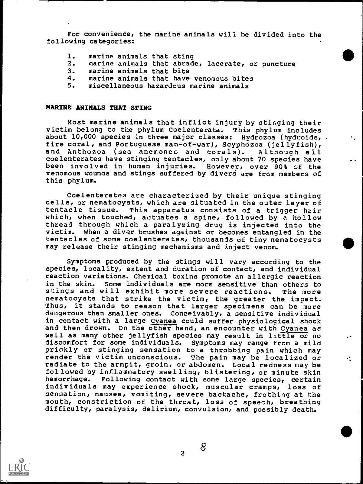For convenience, the marine animals will be divided into the following categories:

- 1. marine animals that sting
- 2. marine animals that abrade, lacerate, or puncture
- 3. marine animals that bite<br>4. marine animals that have
- 4. marine animals that have venomous bites<br>5. miscellaneous hazardous marine animals
- 5. miscellaneous hazardous marine animals

#### MARINE ANIMALS THAT STING

Most marine animals that inflict injury by stinging their victim belong to the phylum Coelenterata. This phylum includes about 10,000 species in three major classes: Hydrozoa (hydroids, . fire coral, and Portuguese man-of-war), Scyphozoa (jellyfish), and Anthozoa (sea anemones and corals). Although all coelenterates have stinging tentacles, only about 70 species have been involved in human injuries. However, over 90% Gf the venomous wounds and stings suffered by divers are from members of this phylum.

Coelenterates are characterized by their unique stinging cells, or nematocysts, which are situated in the outer layer of<br>tentacle tissue. This apparatus consists of a trigger hair This apparatus consists of a trigger hair which, when touched, actuates a spine, followed by a hollow thread through which a paralyzing drug is injected into the victim. When a diver brushes against or becomes entangled in the tentacles of some coelenterates, thousands of tiny nematocysts may release their stinging mechanisms and inject venom.

Symptoms produced by the stings will vary according to the species, locality, extent and duration of contact, and individual reaction variations. Chemical toxins promote an allergic reaction in the skin. Some individuals are more sensitive than others to stings and will exhibit more severe reactions. The more nematocysts that strike the victim, the greater the impact. Thus, it stands to reason that larger specimens can be more dangerous than smaller ones. Conceivably, a sensitive individual in contact with a large Cyanea could suffer physiological shock and then drown. On the other hand, an encounter with Cyanea as well as many other jellyfish species may result in little or no discomfort for some individuals. Symptoms may range from a mild prickly or stinging sensation to a throbbing pain which may render the victim unconscious. The pain may be localized or radiate to the armpit, groin, or abdomen. Local redness may be followed by inflammatory swelling, blistering, or minute skin hemorrhage. Following contact with some large species, certain individuals may experience shock, muscular cramps, loss of sensation, nausea, vomiting, severe backache, frothing at the mouth, constriction of the throat, loss of speech, breathing difficulty, paralysis, delirium, convulsion, and possibly death.



2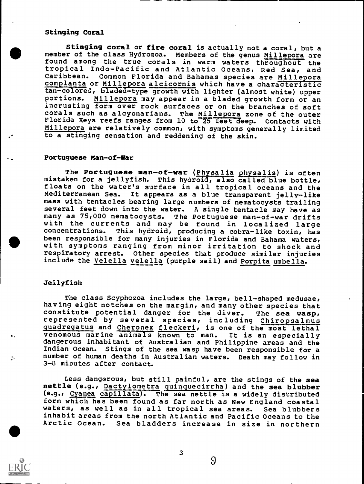# Stinging Coral

Stinging coral or fire coral is actually not a coral, but a member of the class Hydrozoa. Members of the genus Millepora are found among the true corals in warm waters throughout the tropical Indo-Pacific and Atlantic Oceans, Red Sea, and Caribbean. Common Florida and Bahamas species are Millepora complanta or Millepora alcicornis which have a characteristic tan-colored, bladed-type growth with lighter (almost white) upper portions. Millepora may appear in a bladed growth form or an incrusting form over rock surfaces or on the branches of soft corals such as alcyonarians. The Millepora zone of the outer Florida Keys reefs ranges from 10 to 25 feet deep. Contacts with Millepora are relatively common, with symptoms generally limited to a stinging sensation and reddening of the skin.

#### Portuguese Man-of-War

The Portuguese man-of-war (Physalia physalis) is often mistaken for a jellyfish. This hyaroid, also called blue bottle, floats on the water's surface in all tropical oceans and the Mediterranean Sea. It appears as a blue transparent jelly-like mass with tentacles bearing large numbers of nematocysts trailing several feet down into the water. A single tentacle may have as many as 75,000 nematocysts. The Portuguese man-of-war drifts<br>with the currents and may be found in localized large<br>concentrations. This hydroid, producing a cobra-like toxin, has This hydroid, producing a cobra-like toxin, has been responsible for many injuries in Florida and Bahama waters, with symptoms ranging from minor irritation to shock and respiratory arrest. Other species that produce similar injuries include the Velella velella (purple sail) and Porpita umbella.

#### Jellyfish

The class Scyphozoa includes the large, bell-shaped medusae, having eight notches on the margin, and many other species that<br>constitute potential danger for the diver. The sea wasp, represented by several species, including Chiropsalmus quadregatus and Cheronex fleckeri, is one of the most lethal venomous marine animals known to man. It is an especially dangerous inhabitant of Australian and Philippine areas and the Indian Ocean. Stings of the sea wasp have been responsible for a number of human deaths in Australian waters. Death may follow in 3-8 minutes after contact.

Less dangerous, but still painful, are the stings of the sea nettle (e.g., Dactylometra quinquecirrha) and the sea blubber (e.g., Cyanea capillata). The sea nettle is a widely distributed form which has been found as far north as New England coastal waters, as well as in all tropical sea areas. Sea blubbers inhabit areas from the north Atlantic and Pacific Oceans to the Arctic Ocean. Sea bladders increase in size in northern



3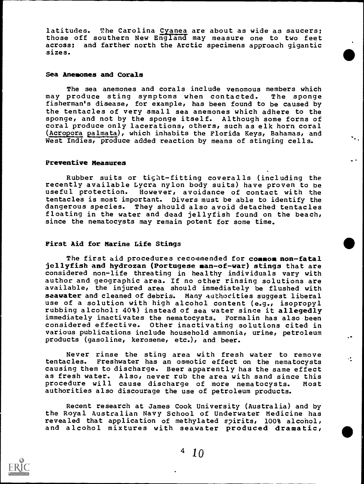latitudes. The Carolina Cyanea are about as wide as saucers; those off southern New England may measure one to two feet across; and farther north the Arctic specimens approach gigantic sizes.

# Sea Anemones and Corals

The sea anemones and corals include venomous members which may produce sting symptoms when contacted. The sponge fisherman's disease, for example, has been found to be caused by the tentacles of very small sea anemones which adhere to the sponge, and not by the sponge itself. Although some forms of coral produce only lacerations, others, such as elk horn coral (Acropora palmata), which inhabits the Florida Keys, Bahamas, and West Indies, produce added reaction by means of stinging cells.

# Preventive Measures

Rubber suits or tight-fitting coveralls (including the recently available Lycra nylon body suits) have proven to be useful protection. However, avoidance of contact with the tentacles is most important. Divers must be able to identify the dangerous species. They should also avoid detached tentacles floating in the water and dead jellyfish found on the beach, since the nematocysts may remain potent for some time.

#### First Aid for Marine Life Stings

The first aid procedures recommended for common non-fatal jellyfish and hydrozan (Portugese man-of-war) stings that are considered non-life threating in healthy individuals vary with author and geographic area. If no other rinsing solutions are available, the injured area should immediately be flushed with seawater and cleaned of debris. Many authorities suggest liberal use of a solution with high alcohol content (e.g., isopropyl rubbing alcohol: 40%) instead of sea water since it allegedly immediately inactivates the nematocysts. Formalin has also been considered effective. Other inactivating solutions cited in various publications include household ammonia, urine, petroleum products (gasoline, kerosene, etc.), and beer.

Never rinse the sting area with fresh water to remove<br>close Exactuator bases constitues for the newsless the second second second second second second second second tentacles. Freshwater has an osmotic effect on the nematocysts causing them to discharge. Beer apparently has the same effect as fresh water. Also, never rub the area with sand since this procedure will cause discharge of more nematocysts. Most authorities also discourage the use of petroleum products.

Recent research at James Cook University (Australia) and by the Royal Australian Navy School of Underwater Medicine has revealed that application of methylated spirits, 100% alcohol, and alcohol mixtures with seawater produced dramatic,

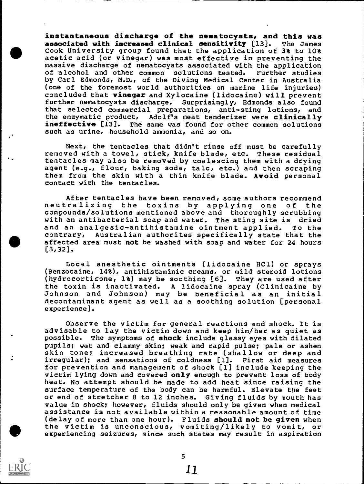instantaneous discharge of the nematocysts, and this was associated with increased clinical sensitivity [13]. The James Cook University group found that the application of 3% to 10% acetic acid (or vinegar) was most effective in preventing the massive discharge of nematocysts associated with the application of alcohol and other common solutions tested. Further studies by Carl Edmonds, M.D., of the Diving Medical Center in Australia (one of the foremost world authorities on marine life injuries) concluded that vinegar and Xylocaine (lidocaine) will prevent further nematocysts discharge. Surprisingly, Edmonds also found that selected commercial preparations, anti-sting lotions, and<br>the enzymatic product, Adolf's meat tenderizer were clinically Adolf's meat tenderizer were clinically ineffective [13]. The same was found for other common solutions such as urine, household ammonia, and so on.

Next, the tentacles that didn't rinse off must be carefully removed with a towel, stick, knife blade, etc. These residual tentacles may also be removed by coalescing them with a drying agent (e.g., flour, baking soda, talc, etc.) and then scraping them from the skin with a thin knife blade. Avoid personal contact with the tentacles.

After tentacles have been removed, some authors recommend<br>neutralizing the toxins by applying one of the compounds/solutions mentioned above and thoroughly scrubbing with an antibacterial soap and water. The sting site is dried and an analgesic-antihistamine ointment applied. To the contrary, Australian authorites specifically state that the affected area must not be washed with soap and water for 24 hours [3,32].

Local anesthetic ointments (lidocaine HC1) or sprays (Benzocaine, 14%), antihistaminic creams, or mild steroid lotions (hydrocortisone, 1%) may be soothing [6]. They are used after the toxin is inactivated. A lidocaine spray (Clinicaine by Johnson and Johnson) may be beneficial as an initial decontaminant agent as well as a soothing solution [personal experience].

Observe the victim for general reactions and shock. It is advisable to lay the victim down and keep him/her as quiet as possible. The symptoms of shock include glassy eyes with dilated pupils; wet and clammy skin; weak and rapid pulse; pale or ashen skin tone; increased breathing rate (shallow or deep and irregular); and sensations of coldness [1]. First aid measures for prevention and management of shock [1] include keeping the victim lying down and covered only enough to prevent loss of body heat. No attempt should be made to add heat since raising the surface temperature of the body can be harmful. Elevate the feet or end of stretcher 8 to 12 inches. Giving fluids by mouth has value in shock; however, fluids should only be given when medical assistance is not available within a reasonable amount of time (delay of more than one hour). Fluids should not be given when the victim is unconscious, vomiting/likely to vomit, or experiencing seizures, since such states may result in aspiration

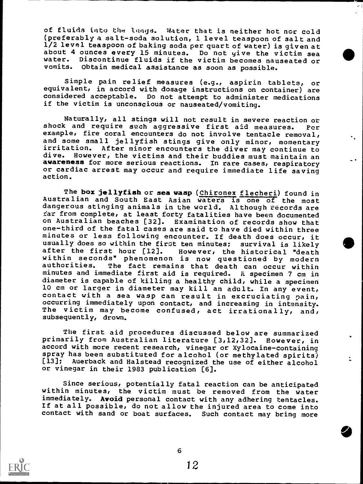of fluids into the langs. Water that is neither hot nor cold (preferably a salt-soda solution, 1 level teaspoon of salt and 1/2 level teaspoon of baking soda per quart of water) is given at about 4 ounces every 15 minutes. Do not give the victim sea water. Discontinue fluids if the victim becomes nauseated or vomits. Obtain medical assistance as soon as possible.

Simple pain relief measures (e.g., aspirin tablets, or equivalent, in accord with dosage instructions on container) are considered acceptable. Do not attempt to administer medications if the victim is unconscious or nauseated/vomiting.

Naturally, all stings will not result in severe reaction or shock and require such aggressive first aid measures. For example, fire coral encounters do not involve tentacle removal, and some small jellyfish stings give only minor, momentary irritation. After minor encounters the diver may continue to dive. However, the victims and their buddies must maintain an awareness for more serious reactions. In rare cases, respiratory or cardiac arrest may occur and require immediate life saving action.

The box jellyfish or sea wasp (Chironex flecheri) found in Australian and South East Asian waters is one of the most dangerous stinging animals in the world. Although fecords are far from complete, at least forty fatalities have been documented<br>on Australian beaches [32]. Examination of records show that Examination of records show that one-third of the fatal cases are said to have died within three minutes or less following encounter. If death does occur, it usually does so within the first ten minutes; survival is likely after the first hour [12]. However, the historical "death within seconds" phenomenon is now questioned by modern authorities. The fact remains that death can occur within minutes and immediate first aid is required. A specimen 7 cm in diameter is capable of killing a healthy child, while a specimen 10 cm or larger in diameter may kill an adult. In any event, contact with a sea wasp can result in excruciating pain, occurring immediately upon contact, and increasing in intensity. The victim may become confused, act irrationally, and, subsequently, drown.

The first aid procedures discussed below are summarized primarily from Australian literature [3,12,32]. However, in accord with more recent research, vinegar or Xylocaine-containing spray has been substituted for alcohol (or methylated spirits)<br>[13]; Auerback and Halstead recognized the use of either alcohol Auerback and Halstead recognized the use of either alcohol or vinegar in their 1983 publication [6].

Since serious, potentially fatal reaction can be anticipated within minutes, the victim must be removed from the water immediately. Avoid personal contact with any adhering tentacles. If at all possible, do not allow the injured area to come into contact with sand or boat surfaces. Such contact may bring more

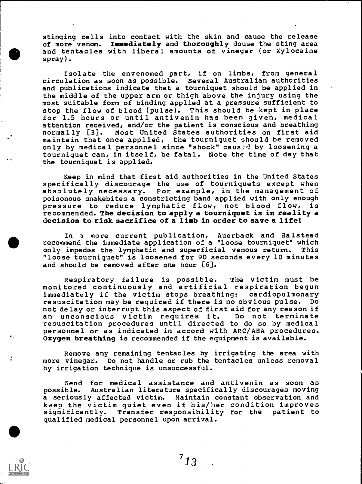stinging cells into contact with the skin and cause the release of more venom. Immediately and thoroughly douse the sting area and tentacles with liberal amounts of vinegar (or Xylocaine spray).

Isolate the envenomed part, if on limbs, from general circulation as soon as possible. Several Australian authorities and publications indicate that a tourniquet should be applied in the middle of the upper arm or thigh above the injury using the most suitable form of binding applied at a pressure sufficient to stop the flow of blood (pulse). This should be kept in place for 1.5 hours or until antivenin has been given, medical attention received, and/or the patient is conscious and breathing normally [3]. Most United States authorities on first aid maintain that once applied, the tourniquet should be removed only by medical personnel since "shock" caus:d by loosening a tourniquet can, in itself, be fatal. Note the time of day that the tourniquet is applied.

Keep in mind that first aid authorities in the United States specifically discourage the use of tourniquets except when absolutely necessary. For example, in the management of poisonous snakebites a constricting band applied with only enough pressure to reduce lymphatic flow, not blood flow, is recommended. The decision to apply a tourniquet is in reality a decision to risk sacrifice of a limb in order to save a life!

In a more current publication, Auerback and Halstead recommend the immediate application of a "loose tourniquet" which only impedes the lymphatic and superficial venous return. This "loose tourniquet" is loosened for 90 seconds every 10 minutes and should be removed after one hour [6].

Respiratory failure is possible. The victim must be monitored continuously and artificial respiration begun<br>immediately if the victim stops breathing; cardiopulmonary immediately if the victim stops breathing; cardiopulmonary resuscitation may be required if there is no obvious pulse. not delay or interrupt this aspect of first aid for any reason if an unconscious victim requires it. Do not terminate resuscitation procedures until directed to do so by medical personnel or as indicated in accord with ARC/AHA procedures. Oxygen breathing is recommended if the equipment is available.

Remove any remaining tentacles by irrigating the area with more vinegar. Do not handle or rub the tentacles unless removal by irrigation technique is unsuccessful.

Send for medical assistance and antivenin as soon as possible. Australian literature specifically discourages moving a seriously affected victim. Maintain constant observation and keep the victim quiet even if his/her condition improves significantly. Transfer responsibility for the patient to qualified medical personnel upon arrival.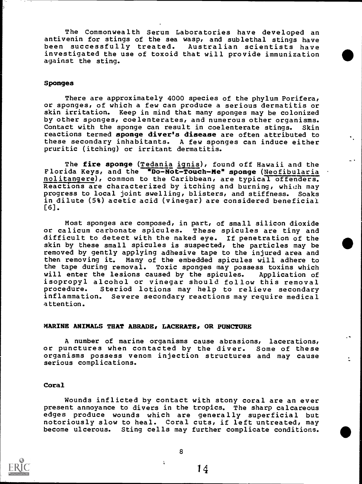The Commonwealth Serum Laboratories have developed an antivenin for stings of the sea wasp, and sublethal stings have been successfully treated. Australian scientists have investigated the use of toxoid that will provide immunization against the sting.

# Sponges

There are approximately 4000 species of the phylum Porifera, or sponges, of which a few can produce a serious dermatitis or skin irritation. Keep in mind that many sponges may be colonized by other sponges, coelenterates, and numerous other organisms. Contact with the sponge can result in coelenterate stings. Skin reactions termed sponge diver's disease are often attributed to these secondary inhabitants. A few sponges can induce either pruritic (itching) or irritant dermatitis.

The fire sponge (Tedania ignis), found off Hawaii and the Florida Keys, and the "Do-Not-Touch-Me" sponge (Neofibularia nolitangere), common to the Caribbean, are typical offenders. Reactions are characterized by itching and burning, which may progress to local joint swelling, blisters, and stiffness. Soaks in dilute (5%) acetic acid (vinegar) are considered beneficial [6].

Most sponges are composed, in part, of small silicon dioxide or calicum carbonate spicules. These spicules are tiny and difficult to detect with the naked eye. If penetration of the skin by these small spicules is suspected, the particles may be removed by gently applying adhesive tape to the injured area and then removing it. Many of the embedded spicules will adhere to the tape during removal. Toxic sponges may possess toxins which will enter the lesions caused by the spicules. Application of isopropyl alcohol or vinegar should follow this removal procedure. Steriod lotions may help to relieve secondary<br>inflammation. Severe secondary reactions may require medical Severe secondary reactions may require medical attention.

#### MARINE ANIMALS THAT ABRADE, LACERATE, OR PUNCTURE

A number of marine organisms cause abrasions, lacerations, or punctures when contacted by the diver. Some of these organisms possess venom injection structures and may cause serious complications.

### Coral

Wounds inflicted by contact with stony coral are an ever present annoyance to divers in the tropics. The sharp calcareous edges produce wounds which are generally superficial but notoriously slow to heal. Coral cuts, if left untreated, may become ulcerous. Sting cells may further complicate conditions.



8

ţ.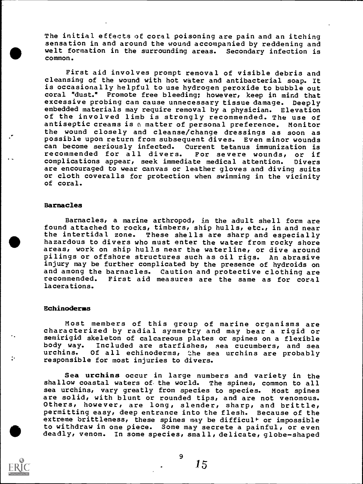The initial effects of coral poisoning are pain and an itching sensation in and around the wound accompanied by reddening and welt formation in the surrounding areas. Secondary infection is common.

First aid involves prompt removal of visible debris and cleansing of the wound with hot water and antibacterial soap. It is occasionally helpful to use hydrogen peroxide to bubble out coral "dust." Promote free bleeding; however, keep in mind that excessive probing can cause unnecessary tissue damage. Deeply embedded materials may require removal by a physician. Elevation of the involved limb is strongly recommended. The use of antiseptic creams is a matter of personal preference. Monitor the wound closely and cleanse/change dressings as soon as possible upon return from subsequent dives. Even minor wounds can become seriously infected. Current tetanus immunization is recommended for all divers. For severe wounds, or if recommended for all divers. For severe wounds, or if complications appear, seek immediate medical attention. Divers are encouraged to wear canvas or leather gloves and diving suits or cloth coveralls for protection when swimming in the vicinity of coral.

#### Barnacles

Barnacles, a marine arthropod, in the adult shell form are found attached to rocks, timbers, ship hulls, etc., in and near<br>the intertidal zone. These shells are sharp and especially These shells are sharp and especially hazardous to divers who must enter the water from rocky shore areas, work on ship hulls near the waterline, or dive around pilings or offshore structures such as oil rigs. An abrasive injury may be further complicated by the presence of hydroids on and among the barnacles. Caution and protective clothing are First aid measures are the same as for coral lacerations.

#### Echinoderms

Most members of this group of marine organisms are characterized by radial symmetry and may bear a rigid or semirigid skeleton of calcareous plates or spines on a flexible<br>body way. Included are starfishes, sea cucumbers, and sea body way. Included are starfishes, sea cucumbers, and sea<br>urchins. Of all echinoderms, the sea urchins are probably Of all echinoderms, the sea urchins are probably responsible for most injuries to divers.

Sea urchins occur in large numbers and variety in the shallow coastal waters of. the world. The spines, common to all sea urchins, vary greatly from species to species. Most spines are solid, with blunt or rounded tips, and are not venomous. Others, however, are long, slender, sharp, and brittle, permitting easy, deep entrance into the flesh. Because of the extreme brittleness, these spines may be difficul<sup>+</sup> or impossible to withdraw in one piece. Some may secrete a painful, or even deadly, venom. In some species, small, delicate, globe-shaped



9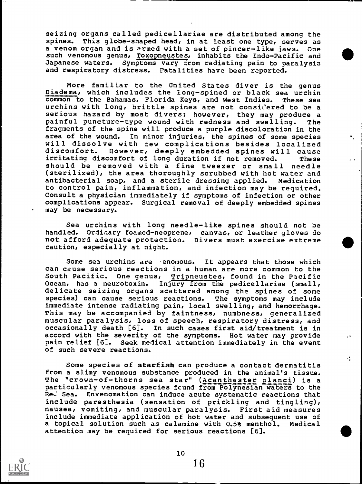seizing organs called pedicellariae are distributed among the spines. This globe-shaped head, in at least one type, serves as a venom organ and is armed with a set of pincer-like jaws. One such venomous genus, Toxopneustes, inhabits the Indo-Pacific and Japanese waters. Symptoms vary from radiating pain to paralysis and respiratory distress. Fatalities have been reported.

More familiar to the United States diver is the genus Diadema, which includes the long-spined or black sea urchin common to the Bahamas, Florida Keys, and West Indies. These sea urchins with long, brittle spines are not considered to be a serious hazard by most divers; however, they may produce a painful puncture-type wound with redness and swelling. The fragments of the spine will produce a purple discoloration in the area of the wound. In minor injuries, the spines of some species will dissolve with few complications besides localized<br>discomfort. However, deeply embedded spines will cause discomfort. However, deeply embedded spines will cause irritating discomfort of long duration if not removed. These should be removed with a fine tweezer or small needle (sterilized), the area thoroughly scrubbed with hot water and antibacterial soap, and a sterile dressing applied. Medication to control pain, inflammation, and infection may be required. Consult a physician immediately if symptoms of infection or other complications appear. Surgical removal of deeply embedded spines may be necessary.

Sea urchins with long needle-like spines should not be handled. Ordinary foamed-neoprene, canvas, or leather gloves do not afford adequate protection. Divers must exercise extreme caution, especially at night.

Some sea urchins are enomous. It appears that those which can cause serious reactions in a human are more common to the South Pacific. One genus, Tripneustes, found in the Pacific Ocean, has a neurotoxin. Injury from the pedicellariae (small, delicate seizing organs scattered among the spines of some species) can cause serious reactions. The symptoms may include immediate intense radiating pain, local swelling, and hemorrhage. This may be accompanied by faintness, numbness, generalized muscular paralysis, loss of speech, respiratory distress, and occasionally death [6]. In such cases first aid/ treatment is in accord with the severity of the symptoms. Hot water may provide pain relief [6]. Seek medical attention immediately in the event of such severe reactions.

Some species of starfish can produce a contact dermatitis from a slimy venomous substance produced in the animal's tissue. The "crown-of-thorns sea star" (Acanthaster planci) is a particularly venomous species fcund from Polynesian waters to the Red Sea. Envenomation can induce acute systematic reactions that include paresthesia (sensation of prickling and tingling), nausea, vomiting, and muscular paralysis. First aid measures include immediate application of hot water and subsequent use of a topical solution such as calamine with 0.5% menthol. Medical attention may be required for serious reactions [6].

÷.

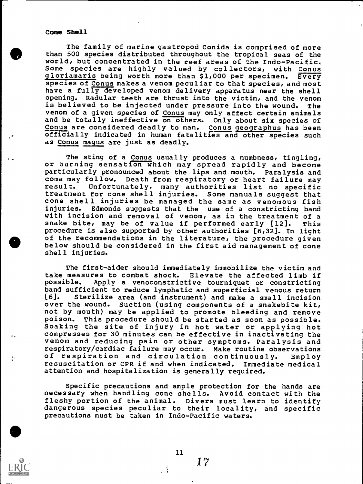#### Cone Shell

The family of marine gastropod Conida is comprised of more than 500 species distributed throughout the tropical seas of the world, but concentrated in the reef areas of the Indo-Pacific. Some species are highly valued by collectors, with Conus gloriamaris being worth more than \$1,000 per specimen. Every species of Conus makes a venom peculiar to that species, and most have a fully developed venom delivery apparatus near the shell opening. Radular teeth are thrust into the victim, and the venom is believed to be injected under pressure into the wound. The venom of a given species of Conus may only affect certain animals and be totally ineffective on others. Only about six species of Conus are considered deadly to man. Conus geographus has been officially indicated in human fatalities and other species such as Conus magus are just as deadly.

The sting of a Conus usually produces a numbness, tingling, or burning sensation which may spread rapidly and become particularly pronounced about the lips and mouth. Paralysis and coma may follow. Death from respiratory or heart failure may Unfortunately, many authorities list no specific treatment for cone shell injuries. Some manuals suggest that cone shell injuries be managed the same as venomous fish Edmonds suggests that the use of a constricting band with incision and removal of venom, as in the treatment of a snake bite, may be of value if performed early [12]. This procedure is also supported by other authorities [6,32]. In light of the recommendations in the literature, the procedure given below should be considered in the first aid management of cone shell injuries.

The first-aider should immediately immobilize the victim and take measures to combat shock. Elevate the affected limb if Apply a venoconstrictive tourniquet or constricting band sufficient to reduce lymphatic and superficial venous return<br>[6]. Sterilize area (and instrument) and make a small incision Sterilize area (and instrument) and make a small incision over the wound. Suction (using components of a snakebite kit, not by mouth) may be applied to promote bleeding and remove poison. This procedure should be started as soon as possible. Soaking the site of injury in hot water or applying hot compresses for 30 minutes can be effective in inactivating the venom and reducing pain or other symptoms. Paralysis and respiratory/cardiac failure may occur. Make routine observations of respiration and circulation continuously. Employ resuscitation or CPR if and when indicated. Immediate medical attention and hospitalization is generally required.

Specific precautions and ample protection for the hands are necessary when handling cone shells. Avoid contact with the fleshy portion of the animal. Divers must learn to identify dangerous species peculiar to their locality, and specific precautions must be taken in Indo-Pacific waters.

11

 $\mathcal{L}$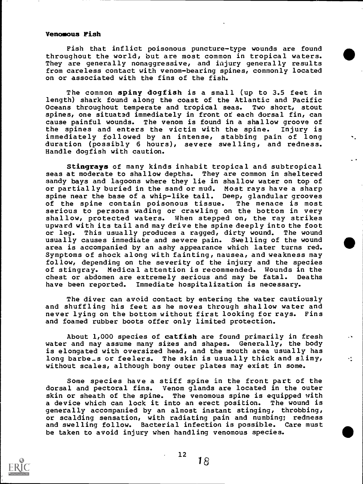#### Venomous Fish

Fish that inflict poisonous puncture-type wounds are found throughout the world, but are most common in tropical waters. They are generally nonaggressive, and injury generally results from careless contact with venom-bearing spines, commonly located on or associated with the fins of the fish.

The common spiny dogfish is a small (up to 3.5 feet in length) shark found along the coast of the Atlantic and Pacific<br>Oceans throughout temperate and tropical seas. Two short, stout Oceans throughout temperate and tropical seas. spines, one situated immediately in front of each dorsal fin, can cause painful wounds. The venom is found in a shallow groove of the spines and enters the victim with the spine. Injury is immediately followed by an intense, stabbing pain of long duration (possibly 6 hours), severe swelling, and redness. Handle dogfish with caution.

Stingrays of many kinds inhabit tropical and subtropical seas at moderate to shallow depths. They are common in sheltered sandy bays and lagoons where they lie in shallow water on top of or partially buried in the sand or mud. Most rays have a sharp spine near the base of a whip-like tail. Deep, glandular grooves<br>of the spine contain poisonous tissue. The menace is most of the spine contain poisonous tissue. serious to persons wading or crawling on the bottom in very shallow, protected waters. When stepped on, the ray strikes upward with its tail and may drive the spine deeply into the foot or leg. This usually produces a ragged, dirty wound. The wound usually causes immediate and severe pain. Swelling of the wound area is accompanied by an ashy appearance which later turns red. Symptoms of shock along with fainting, nausea, and weakness may follow, depending on the severity of the injury and the species of stingray. Medical attention is recommended. Wounds in the chest or abdomen are extremely serious and may be fatal. Deaths have been reported. Immediate hospitalization is necessary.

The diver can avoid contact by entering the water cautiously and shuffling his feet as he moves through shallow water and never lying on the bottom without first looking for rays. Fins and foamed rubber boots offer only limited protection.

About 1,000 species of catfish are found primarily in fresh water and may assume many sizes and shapes. Generally, the body is elongated with oversized head, and the mouth area usually has long barbe<sub>r</sub>s or feelers. The skin is usually thick and slimy, the state of without scales, although bony outer plates may exist in some.

Some species have a stiff spine in the front part of the dorsal and pectoral fins. Venom glands are located in the outer skin or sheath of the spine. The venomous spine is equipped with a device which can lock it into an erect position. The wound is generally accompanied by an almost instant stinging, throbbing, or scalding sensation, with radiating pain and numbing; redness and swelling follow. Bacterial infection is possible. Care must be taken to avoid injury when handling venomous species.

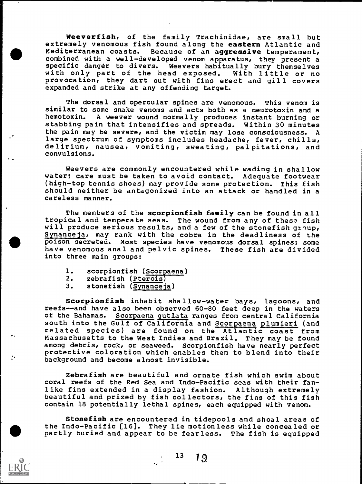Weeverfish, of the family Trachinidae, are small but extremely venomous fish found along the eastern Atlantic and Mediterranean coasts. Because of an aggressive temperament, combined with a well-developed venom apparatus, they present a specific danger to divers. Weevers habitually bury themselves<br>with only part of the head exposed. With little or no with only part of the head exposed. provocation, they dart out with fins erect and gill covers expanded and strike at any offending target.

The dorsal and opercular spines are venomous. This venom is similar to some snake venoms and acts both as a neurotoxin and a A weever wound normally produces instant burning or stabbing pain that intensifies and spreads. Within 30 minutes the pain may be severe, and the victim may lose consciousness. A large spectrum of symptoms includes headache, fever, chills, delirium, nausea, vomiting, sweating, palpitations, and convulsions.

Weevers are commonly encountered while wading in shallow water; care must be taken to avoid contact. Adequate footwear (high-top tennis shoes) may provide some protection. This fish should neither be antagonized into an attack or handled in a careless manner.

The members of the scorpionfish family can be found in all tropical and temperate seas. The wound from any of these fish will produce serious results, and a few of the stonefish group, Synanceja, may rank with the cobra in the deadliness of the poison secreted. Most species have venomous dorsal spines; some have venomous anal and pelvic spines. into three main groups:

- 1. scorpionfish (Scorpaena)
- 2. zebrafish (Pterois)<br>3. stonefish (Synancei
- stonefish (Synanceja)

Scorpionfish inhabit shallow-water bays, lagoons, and reefs--and have also been observed 60-80 feet deep in the waters of the Bahamas. Scorpaena gutlata ranges from central California south into the Gulf of California and Scorpaena plumieri (and related species) are found on the Atlantic coast from Massachusetts to the West Indies and Brazil. They may be found among debris, rock, or seaweed. Scorpionfish have nearly perfect protective coloration which enables them to blend into their background and become almost invisible.

Zebrafish are beautiful and ornate fish which swim about coral reefs of the Red Sea and Indo-Pacific seas with their fanlike fins extended in a display fashion. Although extremely beautiful and prized by fish collectors, the fins of this fish contain 18 potentially lethal spines, each equipped with venom.

Stonefish are encountered in tidepools and shoal areas of the Indo-Pacific [16]. They lie motionless while concealed or partly buried and appear to be fearless. The fish is equipped

 $13 \t 19$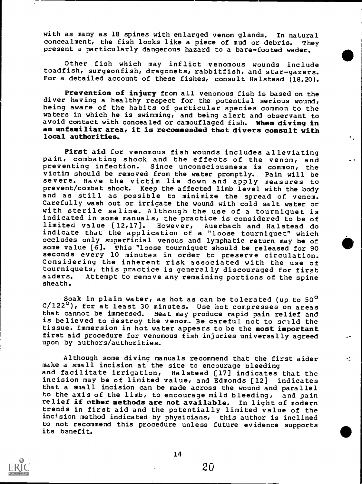with as many as 18 spines with enlarged venom glands. In natural concealment, the fish looks like a piece of mud or debris. They concealment, the fish looks like a piece of mud or debris. present a particularly dangerous hazard to a bare-footed wader.

Other fish which may inflict venomous wounds include toadfish, surgeonfish, dragonets, rabbitfish, and star-gazers. For a detailed account of these fishes, consult Halstead (18,20).

Prevention of injury from all venomous fish is based on the diver having a healthy respect for the potential serious wound, being aware of the habits of particular species common to the waters in which he is swimming, and being alert and observant to avoid contact with concealed or camouflaged fish. When diving in an unfamiliar area, it is recommended that divers consult with local authorities.

First aid for venomous fish wounds includes alleviating pain, combating shock and the effects of the venom, and preventing infection. Since unconsciousness is common, the victim should be removed from the water promptly. Pain will be severe. Have the victim lie down and apply measures to prevent/combat shock. Keep the affected limb level with the body and as still as possible to minimize the spread of venom. Carefully wash out or irrigate the wound with cold salt water or with sterile saline. Although the use of a tourniquet is indicated in some manuals, the practice is considered to be of limited value [12,17]. However, Auerbach and Halstead do indicate that the application of a "loose tourniquet" which occludes only superficial venous and lymphatic return may be of some value [6]. This "loose tourniquet should be released for 90 seconds every 10 minutes in order to preserve circulation. Considering the inherent risk associated with the use of tourniquets, this practice is generally discouraged for first<br>aiders. Attempt to remove any remaining portions of the spine Attempt to remove any remaining portions of the spine sheath.

Soak in plain water, as hot as can be tolerated (up to 50<sup>0</sup> C/122<sup>0</sup>), for at least 30 minutes. Use hot compresses on areas that cannot be immersed. Heat may produce rapid pain relief and is believed to destroy the venom. Be careful not to scald the tissue. Immersion in hot water appears to be the most important first aid procedure for venomous fish injuries universally agreed upon by authors/authorities.

Although some diving manuals recommend that the first aider make a small incision at the site to encourage bleeding and facilitate irrigation, Halstead [17] indicates that the incision may be of limited value, and Edmonds [12] indicates that a small incision can be made across the wound and parallel to the axis of the limb, to encourage mild bleeding, and pain relief if other methods are not available. In light of modern trends in first aid and the potentially limited value of the incision method indicated by physicians, this author is inclined to not recommend this procedure unless future evidence supports its banefit.

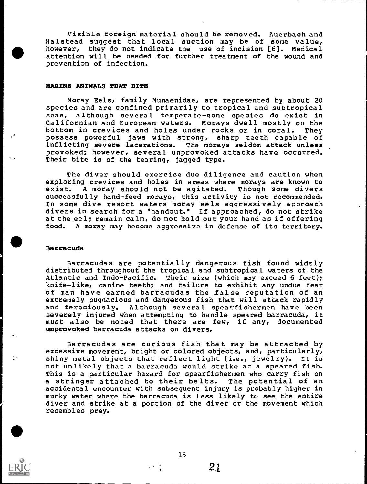Visible foreign material should be removed. Auerbach and Halstead suggest that local suction may be of some value,<br>however, they do not indicate the use of incision [6]. Medical however, they do not indicate the use of incision  $[6]$ . attention will be needed for further treatment of the wound and prevention of infection.

#### MARINE ANIMALS THAT BITE

Moray Eels, family Munaenidae, are represented by about 20 species and are confined primarily to tropical and subtropical seas, although several temperate-zone species do exist in Californian and European waters. Morays dwell mostly on the<br>bottom in crevices and holes under rocks or in coral. They bottom in crevices and holes under rocks or in coral. possess powerful jaws with strong, sharp teeth capable of inflicting severe lacerations. The morays seldom attack unless  $\overline{\phantom{a}}$ provoked; however, several unprovoked attacks have occurred. Their bite is of the tearing, jagged type.

The diver should exercise due diligence and caution when exploring crevices and holes in areas where morays are known to<br>exist. A moray should not be agitated. Though some divers A moray should not be agitated. Though some divers successfully hand-feed morays, this activity is not recommended. In some dive resort waters moray eels aggressively approach divers in search for a "handout." If approached, do not strike at the eel; remain calm, do not hold out your hand as if offering food. A moray may become aggressive in defense of its territory.

#### Barracuda

Barracudas are potentially dangerous fish found widely distributed throughout the tropical and subtropical waters of the Atlantic and Indo-Pacific. Their size (which may exceed 6 feet); knife-like, canine teeth; and failure to exhibit any undue fear of man have earned barracudas the false reputation of an extremely pugnacious and dangerous fish that will attack rapidly and ferociously. Although several spearfishermen have been severely injured when attempting to handle speared barracuda, it must also be noted that there are few, if any, documented unprovoked barracuda attacks on divers.

Barracudas are curious fish that may be attracted by excessive movement, bright or colored objects, and, particularly, shiny metal objects that reflect light (i.e., jewelry). It is not unlikely that a barracuda would strike at a speared fish. This is a particular hazard for spearfishermen who carry fish on a stringer attached to their belts. The potential of an accidental encounter with subsequent injury is probably higher in murky water where the barracuda is less likely to see the entire diver and strike at a portion of the diver or the movement which resembles prey.



15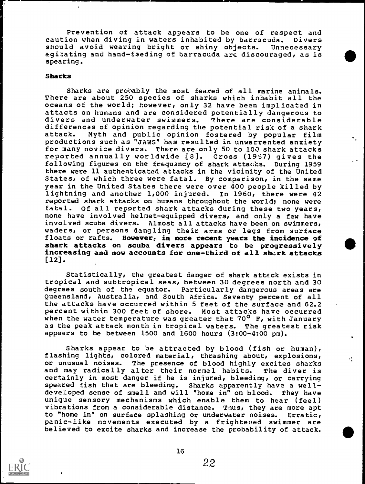Prevention of attack appears to be one of respect and caution when diving in waters inhabited by barracuda. Divers<br>should avoid wearing bright or shiny objects. Unnecessary should avoid wearing bright or shiny objects. agitating and hand-feeding of barracuda are discouraged, as is spearing.

#### Sharks

Sharks are probably the most feared of all marine animals. There are about 250 species of sharks which inhabit all the oceans of the world; however, only 32 have been implicated in attacts on humans and are considered potentially dangerous to<br>divers and underwater swimmers. There are considerable divers and underwater swimmers. differences of opinion regarding the potential risk of a shark attack. Myth and public opinion fostered by popular film productions such as "JAWS" has resulted in unwarrented anxiety for many novice divers. There are only 50 to 100 shark attacks reported annually worldwide [8]. Cross (19:57) gives the following figures on the frequency of shark attacks. During 1959 there were 11 authenticated attacks in the vicinity of the United States, of which three were fatal. By comparison, in the same year in the United States there were over 400 people killed by lightning and another 1,000 injured. In 1960, there were 42 reported shark attacks on humans throughout the world; none were<br>fatal. Of all reported shark attacks during these two years, Of all reported shark attacks during these two years, none have involved helmet-equipped divers, and only a few have involved scuba divers. Almost all attacks have been on swimmers, Almost all attacks have been on swimmers, waders, or persons dangling their arms or legs from surface floats or rafts. However, in more recent years the incidence of shark attacks on scuba divers appears to be progressively increasing and now accounts for one-third of all shark attacks [12].

Statistically, the greatest danger of shark attack exists in tropical and subtropical seas, between 30 degrees north and 30 degrees south of the equator. Particularly dangercus areas are Queensland, Australia, and South Africa. Seventy percent of all the attacks have occurred within 5 feet of the surface and 62.2 percent within 300 feet of shore. Most attacks have occurred when the water temperature was greater that  $70^{\circ}$  F, with January as the peak attack month in tropical waters. The greatest risk appears to be between 1500 and 1600 hours (3:00-4:00 pm).

Sharks appear to be attracted by blood (fish or human), flashing lights, colored material, thrashing about, explosions,<br>or unusual noises. The presence of blood highly excites sharks The presence of blood highly excites sharks<br>alter their normal habits. The diver is and may radically alter their normal habits. certainly in most danger if he is injured, bleeding, or carrying speared fish that are bleeding. Sharks apparently have a welldeveloped sense of smell and will "home in" on blood. They have unique sensory mechanisms which enable them to hear (feel) vibrations from a considerable distance. Tnus, they are more apt to "home in" on surface splashing or underwater noises. Erratic, panic-like movements executed by a frightened swimmer are believed to excite sharks and increase the probability of attack.

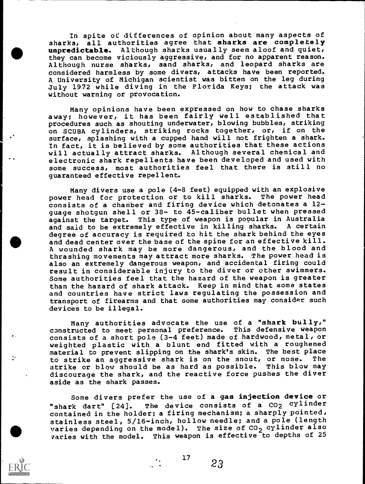In spite of differences of opinion about many aspects of sharks, all authorities agree that sharks are completely unpredictable. Although sharks usually seem aloof and quiet, they can become viciously aggressive, and for no apparent reason. Although nurse sharks, sand sharks, and leopard sharks are considered harmless by some divers, attacks have been reported. A University of Michigan scientist was bitten on the leg during July 1972 while diving in the Florida Keys; the attack was without warning or provocation.

Many opinions have been expressed on how to chase sharks away; however, it has been fairly well established that procedures such as shouting underwater, blowing bubbles, striking on SCUBA cylinders, striking rocks together, or, if on the surface, splashing with a cupped hand will not frighten a shark. In fact, it is believed by some authorities that these actions will actually attract sharks. Although several chemical and electronic shark repellents have been developed and used with some success, most authorities feel that there is still no guaranteed effective repellent.

Many divers use a pole (4-8 feet) equipped with an explosive power head for protection or to kill sharks. The power head consists of a chamber and firing device which detonates a 12 guage shotgun shell or 38- to 45-caliber bullet when pressed against the target. This type of weapon is popular in Australia<br>and said to be extremely effective in killing sharks. A certain and said to be extremely effective in killing sharks. degree of accuracy is required to hit the shark behind the eyes and dead center over the base of the spine for an effective kill. A wounded shark may be more dangerous, and the blood and thrashing movements may attract more sharks. The power head is also an extremely dangerous weapon, and accidental firing could result in considerable injury to the diver or other swimmers. Some authorities feel that the hazard of the weapon is greater than the hazard of shark attack. Keep in mind that some states and countries have strict laws regulating the possession and transport of firearms and that some authorities may consider such devices to be illegal.

Many authorities advocate the use of a "shark bully," constructed to meet personal preference. This defensive weapon consists of a short pole (3-4 feet) made of hardwood, metal, or weighted plastic with a blunt end fitted with a roughened material to prevent slipping on the shark's skin. The best place<br>to strike an aggressive shark is on the snout, or nose. The to strike an aggressive shark is on the snout, or nose. strike or blow should be as hard as possible. This blow may discourage the shark, and the reactive force pushes the diver aside as the shark passes.

Some divers prefer the use of a gas injection device or "shark dart" [24]. The device consists of a CO<sub>2</sub> cylinder contained in the holder; a firing mechanism; a sharply pointed, stainless steel, 5/16-inch, hollow needle; and a pole (length varies depending on the model). The size of  $CO_2$  cylinder also varies with the model. This weapon is effective to depths of 25

.

 $\frac{17}{23}$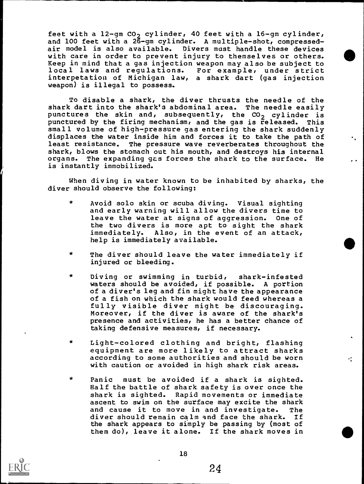feet with a 12-gm CO<sub>2</sub> cylinder, 40 feet with a 16-gm cylinder, and 100 feet with a 26-gm cylinder. A multiple-shot, compressedair model is also available. Divers must handle these devices with care in order to prevent injury to themselves or others. Keep in mind that a gas injection weapon may also be subject to local laws and regulations. For example, under strict interpetatiou of Michigan law, a shark dart (gas injection weapon) is illegal to possess.

To disable a shark, the diver thrusts the needle of the shark dart into the shark'3 abdominal area. The needle easily punctures the skin and, subsequently, the  $CO_2$  cylinder is punctured by the firing mechanism, and the gas is released. This small volume of high-pressure gas entering the shark suddenly displaces the water inside him and forces it to take the path of least resistance. The pressure wave reverberates throughout the shark, blows the stomach out his mouth, and destroys his internal organs. The expanding ges forces the shark to the surface. He is instantly immobilized.

When diving in water known to be inhabited by sharks, the diver should observe the following:

- Avoid solo skin or scuba diving. Visual sighting and early warning will allow the divers time to leave the water at signs of aggression. One of the two divers is more apt to sight the shark immediately. Also, in the event of an attack, help is immediately available.
- The diver should leave the water immediately if injured or bleeding.
- Diving or swimming in turbid, shark-infested waters should be avoided, if possible. A portion of a diver's leg and fin might have the appearance of a fish on which the shark would feed whereas a fully visible diver might be discouraging. Moreover, if the diver is aware of the shark's presence and activities, he has a better chance of taking defensive measures, if necessary.
- \* Light-colored clothing and bright, flashing equipment are more likely to attract sharks according to some authorities and should be worn with caution or avoided in high shark risk areas.
- \* Panic must be avoided if a shark is sighted. Half the battle of shark safety is over once the shark is sighted. Rapid movements or immediate ascent to swim on the surface may excite the shark and cause it to move in and investigate. The diver should remain calm and face the shark. If the shark appears to simply be passing by (most of them do), leave it alone. If the shark moves in



24

∹.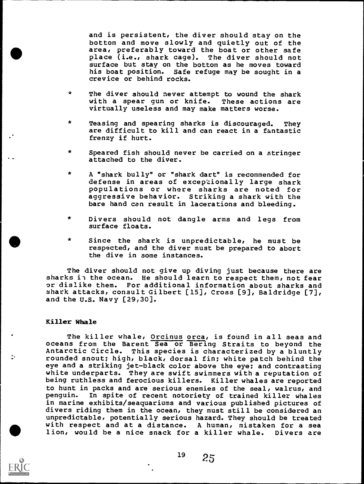and is persistent, the diver should stay on the bottom and move slowly and quietly out of the area, preferably toward the boat or other safe place (i.e., shark cage). The diver should not surface but stay on the bottom as he moves toward his boat position. Safe refuge may be sought in a crevice or behind rocks.

- \* The diver should never attempt to wound the shark with a spear gun or knife. These actions are virtually useless and may make matters worse.
- \* Teasing and spearing sharks is discouraged. They are difficult to kill and can react in a fantastic frenzy if hurt.
- \* Speared fish should never be carried on a stringer attached to the diver.
- \* A "shark bully" or "shark dart" is recommended for defense in areas of excep'zionally large shark populations or where sharks are noted for aggressive behavior. Striking a shark with the bare hand can result in lacerations and bleeding.
- \* Divers should not dangle arms and legs from surface floats.
- \* Since the shark is unpredictable, he must be respected, and the diver must be prepared to abort the dive in some instances.

The diver should not give up diving just because there are sharks in the ocean. He should learn to respect them, not fear or dislike them. For additional information about sharks and shark attacks, consult Gilbert [15], Cross [9], Baldridge [7], and the U.S. Navy [29,30].

#### Killer Whale

The killer whale, Orcinus orca, is found in all seas and oceans from the Barent Sea or Bering Straits to beyond the Antarctic Circle. This species is characterized by a bluntly rounded snout; high, black, dorsal fin; white patch behind the eye and a striking jet-black color above the eye; and contrasting white underparts. They are swift swimmers with a reputation of being ruthless and ferocious killers. Killer whales are reported to hunt in packs and are serious enemies of the seal, walrus, and penguin. In spite of recent notoriety of trained killer whales in marine exhibits/seaquariums and various published pictures of divers riding them in the ocean, they must still be considered an unpredictable, potentially serious hazard. They should be treated with respect and at a distance. A human, mistaken for a sea lion, would be a nice snack for a killer whale. Divers are



÷.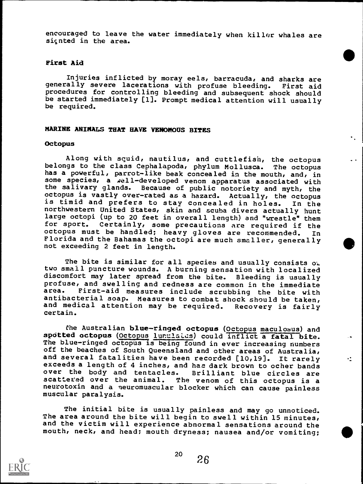encouraged to leave the water immediately when killer whales are sic nted in the area.

#### First Aid

Injuries inflicted by moray eels, barracuda, and sharks are<br>ally severe lacerations with profuse bleeding. First aid generally severe lacerations with profuse bleeding. procedures for controlling bleeding and subsequent shock should be started immediately [1]. Prompt medical attention will usually be required.

#### MARINE ANIMALS THAT HAVE VENOMOUS BITES

#### **Octopus**

Along with squid, nautilus, and cuttlefish, the octopus<br>gs to the class Cephalapoda, phylum Mollusca. The octopus belongs to the class Cephalapoda, phylum Mollusca. has a powerful, parrot-like beak concealed in the mouth, and, in some species, a well-developed venom apparatus associated with the salivary glands. Because of public notoriety and myth, the octopus is vastly over-rated as a hazard. Actually, the octopus octopus is vastly over-rated as a hazard. Actually, the octopus is timid and prefers to stay concealed in holes. In the northwestern United States, skin and scuba divers actually hunt large octopi (up to 20 feet in overall length) and "wrestle" them<br>for sport. Certainly, some precautions are required if the Certainly, some precautions are required if the octopus must be handled; heavy gloves are recommended. In Florida and the Bahamas the octopi are much smaller, generally not exceeding 2 feet in length.

The bite is similar for all species and usually consists  $o$ . two small puncture wounds. A burning sensation with localized discomfort may later spread from the bite. Bleeding is usually profuse, and swelling and redness are common in the immediate<br>area. First-aid measures include scrubbing the bite with First-aid measures include scrubbing the bite with antibacterial soap. Measures to combat shock should be taken, and medical attention may be required. Recovery is fairly certain.

the Australian blue-ringed octopus (Octopus maculosus) and spotted octopus (Octopus lunulates) could inflict a fatal bite. The blue-ringed octopus is being found in ever increasing numbers off the beaches of South Queensland and other areas of Australia, and several fatalities have been recorded [10,19]. It rarely  $\cdot$ exceeds a length of 4 inches, and has dark brown to ocher bands<br>over the body and tentacles. Brilliant blue circles are over the body and tentacles.<br>scattered over the animal. T The venom of this octopus is a neurotoxin and a neuromuscular blocker which can cause painless muscular paralysis.

The initial bite is usually painless and may go unnoticed. The area around the bite will begin to swell within 15 minutes, and the victim will experience abnormal sensations around the mouth, neck, and head; mouth dryness; nausea and/or vomiting;



 $^{20}$   $^{26}$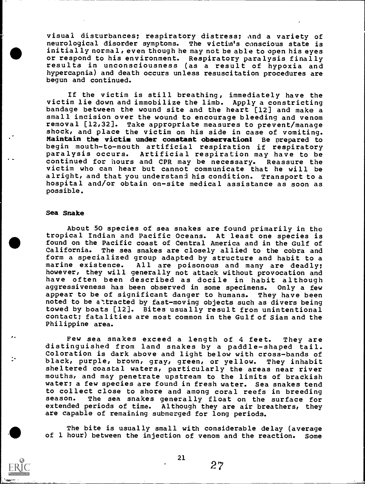visual disturbances; respiratory distress; and a variety of neurological disorder symptoms. The victim's conscious state is **Exercise 12** or respond to his environment. Respiratory paralysis finally initially normal, even though he may not be able to open his eyes results in unconsciousness (as a result of hypoxia and hypercapnia) and death occurs unless resuscitation procedures are begun and continued.

> If the victim is still breathing, immediately have the victim lie down and immobilize the limb. Apply a constricting bandage between the wound site and the heart [12] and make a small incision over the wound to encourage bleeding and venom removal [12,32]. Take appropriate measures to prevent/manage shock, and place the victim on his side in case of vomiting. Maintain the victim under constant observation! Be prepared to begin mouth-to-mouth artificial respiration if respiratory paralysis occurs. Artificial respiration may have to be<br>continued for hours and CPR may be necessary. Reassure the continued for hours and CPR may be necessary. victim who can hear but cannot communicate that he will be alright, and that you understand his condition. Transport to a hospital and/or obtain on-site medical assistance as soon as possible.

#### Sea Snake

r.

About 50 species of sea snakes are found primarily in the tropical Indian and Pacific Oceans. At least one species is found on the Pacific coast of Central America and in the Gulf of California. The sea snakes are closely allied to the cobra and form a specialized group adapted by structure and habit to a marine existence. All are poisonous and many are deadly: All are poisonous and many are deadly; however, they will generally not attack without provocation and have often been described as docile in habit although<br>aggressiveness has been observed in some specimens. Only a few aggressiveness has been observed in some specimens. appear to be of significant danger to humans. They have been noted to be attracted by fast-moving objects such as divers being towed by boats [12]. Bites usually result from unintentional contact; fatalities are most common in the Gulf of Siam and the Philippine area.

Few sea snakes exceed a length of 4 feet. They are distinguished from land snakes by a paddle-shaped tail. Coloration is dark above and light below with cross-bands of black, purple, brown, gray, green, or yellow. They inhabit sheltered coastal waters, particularly the areas near river mouths, and may penetrate upstream to the limits of brackish water; a few species are found in fresh water. Sea snakes tend to collect close to shore and among coral reefs in breeding season. The sea snakes generally float on the surface for<br>extended periods of time. Although they are air breathers, they Although they are air breathers, they are capable of remaining submerged for long periods.

411 of 1 hour) between the injection of venom and the reaction. Some The bite is usually small with considerable delay (average

21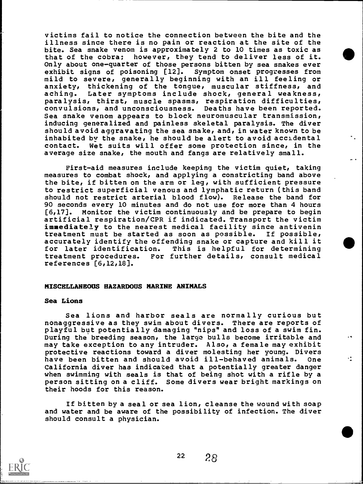victims fail to notice the connection between the bite and the illness since there is no pain or reaction at the site of the bite. Sea snake venom is approximately 2 to 10 times as toxic as that of the cobra; however, they tend to deliver less of it. Only about one-quarter of those persons bitten by sea snakes ever exhibit signs of poisoning [12]. Symptom onset progresses from mild to severe, generally beginning with an ill feeling or anxiety, thickening of the tongue, muscular stiffness, and aching. Later symptoms include shock, general weakness, paralysis, thirst, muscle spasms, respiration difficulties, convulsions, and unconsciousness. Deaths have been reported. Sea snake venom appears to block neuromuscular transmission, inducing generalized and painless skeletal paralysis. The diver should avoid aggravating the sea snake, and, in water known to be inhabited by the snake, he should be alert to avoid accidental contact. Wet suits will offer some protection since, in the average size snake, the mouth and fangs are relatively small.

First-aid measures include keeping the victim quiet, taking measures to combat shock, and applying a constricting band above the bite, if bitten on the arm or leg, with sufficient pressure to restrict superficial venous and lymphatic return (this band should not restrict arterial blood flow). Release the band for 90 seconds every 10 minutes and do not use for more than 4 hours<br>[6,17]. Monitor the victim continuously and be prepare to begin Monitor the victim continuously and be prepare to begin artificial respiration/CPR if indicated. Transport the victim immediately to the nearest medical facility since antivenin<br>treatment must be started as soon as possible. If possible, treatment must be started as soon as possible. accurately identify the offending snake or capture and kill it for later identification. This is helpful for determining<br>treatment procedures. For further details, consult medical For further details, consult medical references [6,12,18].

#### MISCELLANEOUS HAZARDOUS MARINE ANIMALS

#### Sea Lions

Sea lions and harbor seals are normally curious but nonaggressive as they swim about divers. There are reports of playful but potentially damaging "nips" and loss of a swim fin. During the breeding season, the large bulls become irritable and may take exception to any intruder. Also, a female may exhibit protective reactions toward a diver molesting her young. Divers have been bitten and should avoid ill-behaved animals. One California diver has indicated that a potentially greater danger when swimming with seals is that of being shot with a rifle by a person sitting on a cliff. Some divers wear bright markings on their hoods for this reason.

If bitten by a seal or sea lion, cleanse the wound with soap and water and be aware of the possibility of infection. The diver should consult a physician.

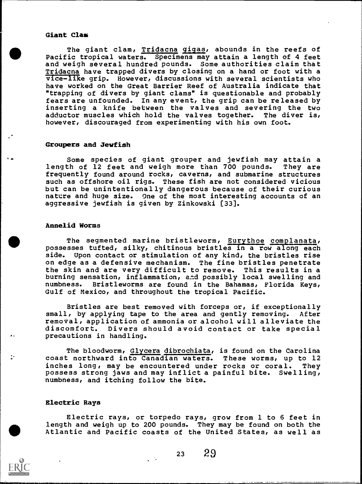# Giant Clam

The giant clam, Tridacna gigas, abounds in the reefs of Pacific tropical waters. Specimens may attain a length of 4 feet and weigh several hundred pounds. Some authorities claim that Tridacna have trapped divers by closing on a hand or foot with a  $\overline{v}$ ice-like grip. However, discussions with several scientists who have worked on the Great Barrier Reef of Australia indicate that "trapping of divers by giant clams" is questionable and probably fears are unfounded. In any event, the grip can be released by inserting a knife between the valves and severing the two<br>adductor muscles which hold the valves together. The diver is, adductor muscles which hold the valves together. however, discouraged from experimenting with his own foot.

### Groupers and Jewfish

Some species of giant grouper and jewfish may attain a length of 12 feet and weigh more than 700 pounds. They are frequently found around rocks, caverns, and submarine structures such as offshore oil rigs. These fish are not considered vicious but can be unintentionally dangerous because of their curious nature and huge size. One of the most interesting accounts of an aggressive jewfish is given by Zinkowski [33].

### Annelid Worms

The segmented marine bristleworm, Eurythoe complanata, possesses tufted, silky, chitinous bristles in a row along each side. Upon contact or stimulation of any kind, the bristles rise on edge as a defensive mechanism. The fine bristles penetrate the skin and are very difficult to remove. This results in a burning sensation, inflammation, and possibly local swelling and numbness. Bristleworms are found in the Bahamas, Florida Keys, Gulf of Mexico, and throughout the tropical Pacific.

Bristles are best removed with forceps or, if exceptionally small, by applying tape to the area and gently removing. After removal, application of ammonia or alcohol will alleviate the discomfort. Divers should avoid contact or take special precautions in handling.

The bloodworm, Glycera dibrochiata, is found on the Carolina coast northward into Canadian waters. These worms, up to 12 inches long, may be encountered under rocks or coral. They possess strong jaws and may inflict a painful bite. Swelling, numbness, and itching follow the bite.

#### Electric Rays

Electric rays, or torpedo rays, grow from 1 to 6 feet in length and weigh up to 200 pounds. They may be found on both the Atlantic and Pacific coasts of the United States, as well as

r .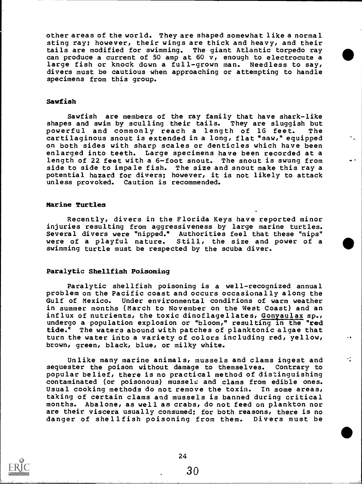other areas of the world. They are shaped somewhat like a normal sting ray; however, their wings are thick and heavy, and their tails are modified for swimming. The giant Atlantic torpedo ray can produce a current of 50 amp at 60 v, enough to electrocute a large fish or knock down a full-grown man. Needless to say, divers must be cautious when approaching or attempting to handle specimens from this group.

#### Sawfish

Sawfish are members of the ray family that have shark-like shapes and swim by sculling their tails. They are sluggish but powerful and commonly reach a length of 16 feet. The cartilaginous snout is extended in a long, flat "saw," equipped on both sides with sharp scales or denticles which have been enlarged into teeth. Large specimens have been recorded at a length of 22 feet with a 6-foot snout. The snout is swung from side to side to impale fish. The size and snout make this ray a potential hazard for divers; however, it is not likely to attack unless provoked. Caution is recommended.

#### Marine Turtles

Recently, divers in the Florida Keys have reported minor injuries resulting from aggressiveness by large marine turtles. Several divers were "nipped." Authorities feel that these "nips" were of a playful nature. Still, the size and power of a swimming turtle must be respected by the scuba diver.

#### Paralytic Shellfish Poisoning

Paralytic shellfish poisoning is a well-recognized annual problem on the Pacific coast and occurs occasionally along the Gulf of Mexico. Under environmental conditions of warm weather in summer months (March to November on the West Coast) and an influx of nutrients, the toxic dinoflagellates, Gonyaulax sp., undergo a population explosion or "bloom," resulting in the "red tide." The waters abound with patches of planktonic algae that turn the water into a variety of colors including red, yellow, brown, green, black, blue, or milky white.

Unlike many marine animals, mussels and clams ingest and sequester the poison without damage to themselves. Contrary to popular belief, there is no practical method of distinguishing contaminated (or poisonous) mussels and clams from edible ones. Usual cooking methods do not remove the toxin. In some areas, taking of certain clams and mussels is banned during critical months. Abalone, as well as crabs, do not feed on plankton nor are their viscera usually consumed; for both reasons, there is no danger of shellfish poisoning from them. Divers must be

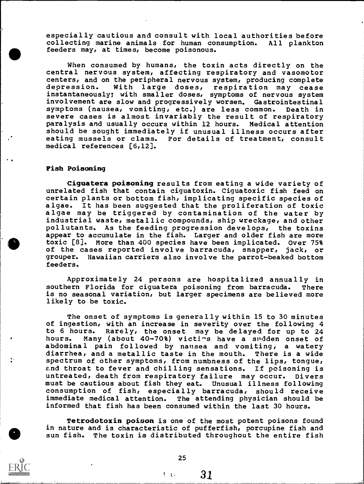especially cautious and consult with local authorities before collecting marine animals for human consumption. All plankton feeders may/ at times, become poisonous.

When consumed by humans, the toxin acts directly on the central nervous system, affecting respiratory and vasomotor centers, and on the peripheral nervous system, producing complete depression. With large doses, respiration may cease instantaneously; with smaller doses, symptoms of nervous system involvement are slow and progressively worsen. Gastrointestinal symptoms (nausea, vomiting, etc.) are less common. Death in severe cases is almost invariably the result of respiratory paralysis and usually occurs within 12 hours. Medical attention should be sought immediately if unusual illness occurs after eating mussels or clams. For details of treatment, consult medical references [6,12].

#### Fish Poisoning

Ciguatera poisoning results from eating a wide variety of unrelated fish that contain ciguatoxin. Ciguatoxic fish feed on certain plants or bottom fish, implicating specific species of algae. It has been suggested that the proliferation of toxic algae may be triggered by contamination of the water by industrial waste, metallic compounds, ship wreckage, and other pollutants. As the feeding progression develops, the toxins appear to accumulate in the fish. Larger and older fish are more toxic [8]. More than 400 species have been implicated. Over 75% of the cases reported involve barracuda, snapper, jack, or grouper. Hawaiian carriers also involve the parrot-beaked bottom feeders.

Approximately 24 persons are hospitalized annually in southern Florida for ciguatera poisoning from barracuda. There is no seasonal variation, but larger specimens are believed more likely to be toxic.

The onset of symptoms is generally within 15 to 30 minutes of ingestion, with an increase in severity over the following 4 to 6 hours. Rarely, the onset may be delayed for up to 24 Many (about 40-70%) victims have a sudden onset of abdominal pain followed by nausea and vomiting, a watery diarrhea, and a metallic taste in the mouth. There is a wide spectrum of other symptoms, from numbness of the lips, tongue, e.nd throat to fever and chilling sensations. If poisoning is untreated, death from respiratory failure may occur. Divers must be cautious about fish they eat. Unusual illness following consumption of fish, especially barracuda, should receive<br>immediate medical attention. The attending physician should be The attending physician should be informed that fish has been consumed within the last 30 hours.

Tetrodotoxin poison is one of the most potent poisons found in nature and is characteristic of pufferfish, porcupine fish and sun fish. The toxin is distributed throughout the entire fish

25

 $\sqrt{31}$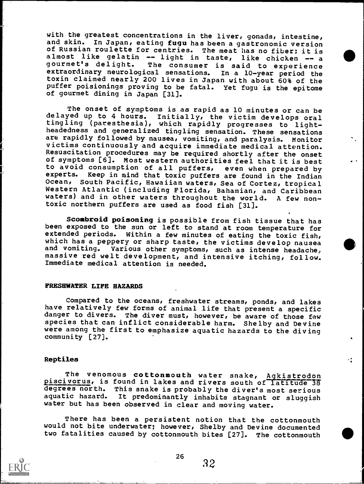with the greatest concentrations in the liver, gonads, intestine, and skin. In Japan, eating fugu has been a gastronomic version of Russian roulette for centries. The meat has no fiber; it is almost like gelatin -- light in taste, like chicken -- a<br>gourmet's delight. The consumer is said to experience<br>extraordinary neurological sensations. In a 10-year period the toxin claimed nearly 200 lives in Japan with about 60% of the puffer poisionings proving to be fatal. Yet fugu is the epitome of gourmet dining in Japan [31].

The onset of symptoms is as rapid as 10 minutes or can be delayed up to 4 hours. Initially, the victim develops oral tingling (paresthesia), which rapidly progresses to lightheadedness and generalized tingling sensation. These sensations<br>are rapidly followed by nausea, vomiting, and paralysis. Monitor are rapidly followed by nausea, vomiting, and paralysis. victims continuously and acquire immediate medical attention. Resuscitation procedures may be required shortly after the onset of symptoms [6]. Most western authorities feel that it is best to avoid consumption of all puffers, even when prepared by experts. Keep in mind that toxic puffers are found in the Indian Ocean, South Pacific, Hawaiian waters, Sea of Cortez, tropical Western Atlantic (including Florida, Bahamian, and Caribbean waters) and in other waters throughout the world. A few nontoxic northern puffers are used as food fish [31].

Scombroid poisoning is possible from fish tissue that has been exposed to the sun or left to stand at room temperature for extended periods. Within a few minutes of eating the toxic fish, which has a peppery or sharp taste, the victims develop nausea and vomiting. Various other symptoms, such as intense headache, massive red welt development, and intensive itching, follow. Immediate medical attention is needed.

#### FRESHWATER LIFE HAZARDS

Compared to the oceans, freshwater streams, ponds, and lakes have relatively few forms of animal life that present a specific danger to divers. The diver must, however, be aware of those few species that can inflict considerable harm. Shelby and Devine were among the first to emphasize aquatic hazards to the diving community [27].

### Reptiles

The venomous cottonmouth water snake, Agkistrodon piscivorus, is found in lakes and rivers south of latitude 38 degrees north. This snake is probably the diver's most serious<br>aquatic hazard. It predominantly inhabits stagnant or sluggish It predominantly inhabits stagnant or sluggish water but has been observed in clear and moving water.

There has been a persistent notion that the cottonmouth would not bite underwater; however, Shelby and Devine documented two fatalities caused by cottonmouth bites [27]. The cottonmouth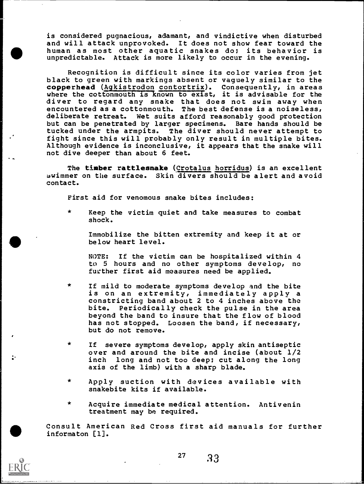is considered pugnacious, adamant, and vindictive when disturbed and will attack unprovoked. It does not show fear toward the human as most other aquatic snakes do; its behavior is unpredictable. Attack is more likely to occur in the evening.

Recognition is difficult since its color varies from jet black to green with markings absent or vaguely similar to the copperhead (Agkistrodon contortrix). Consequently, in areas where the cottonmouth is known to exist, it is advisable for the diver to regard any snake that does not swim away when encountered as a cottonmouth. The best defense is a noiseless, deliberate retreat. Wet suits afford reasonably good protection<br>but can be penetrated by larger specimens. Bare hands should be but can be penetrated by larger specimens. tucked under the armpits. The diver should never attempt to fight since this will probably only result in multiple bites. Although evidence is inconclusive, it appears that the snake will not dive deeper than about 6 feet.

The timber rattlesnake (Crotalus horridus) is an excellent swimmer on the surface. Skin divers should be alert and avoid contact.

First aid for venomous snake bites includes:

 $\star$ Keep the victim quiet and take measures to combat shock.

Immobilize the bitten extremity and keep it at or below heart level.

NOTE: If the victim can be hospitalized within 4 to <sup>5</sup> hours and no other symptoms develop, no further first aid measures need be applied.

- $\star$ If mild to moderate symptoms develop and the bite is on an extremity, immediately apply a constricting band about 2 to 4 inches above the bite. Periodically check the pulse in the area beyond the band to insure that the flow of blood has not stopped. Loosen the band, if necessary, but do not remove.
- If severe symptoms develop, apply skin antiseptic over and around the bite and incise (about 1/2 inch long and not too deep; cut along the long axis of the limb) with a sharp blade.
- $\star$ Apply suction with devices available with snakebite kits if available.
- $\star$ Acquire immediate medical attention. Antivenin treatment may be required.

Consult American Red Cross first aid manuals for further informaton [1].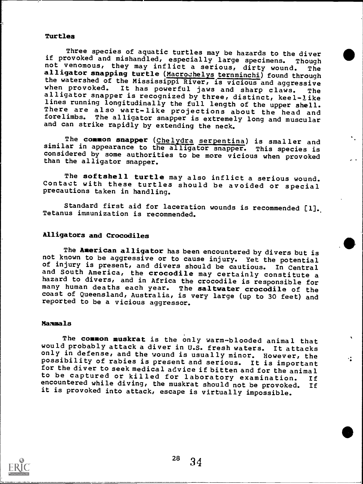# Turtles

Three species of aquatic turtles may be hazards to the diver<br>if provoked and mishandled, especially large specimens. Though<br>not venomous, they may inflict a serious, dirty wound. The<br>alligator snapping turtle (Macrochelys the watershed of the Mississippi River, is vicious and aggressive<br>when provoked. It has powerful jaws and sharp claws. The<br>alligator snapper is recognized by three, distinct, keel-like<br>lines running longitudinally the full There are also wart-like projections about the head and forelimbs. The alligator snapper is extremely long and muscular and can strike rapidly by extending the neck.

The common snapper (Chelydra serpentina) is smaller and similar in appearance to the alligator snapper. This species is considered by some authorities to be more vicious when provoked than the alligator snapper.

The softshell turtle may also inflict a serious wound. Contact with these turtles should be avoided or special precautions taken in handling.

Standard first aid for laceration wounds is recommended [1]. Tetanus immunization is recommended.

# Alligators and Crocodiles

The **American alligator** has been encountered by divers but is<br>not known to be aggressive or to cause injury. Yet the potential<br>of injury is present, and divers should be cautious. In Central<br>and South America, the crocodi many human deaths each year. The saltwater crocodile of the coast of Queensland, Australia, is very large (up to 30 feet) and reported to be a vicious aggressor.

#### Mammals

The common muskrat is the only warm-blooded animal that would probably attack a diver in U.S. fresh waters. It attacks only in defense, and the wound is usually minor. However, the possibility of rabies is present and serious. It is important for the diver to seek medical advice if bitten and for the animal to be captured or killed for laboratory examination. If encountered while diving, the muskrat should not be provoked. If it is provoked into attack, escape is virtually impossible.

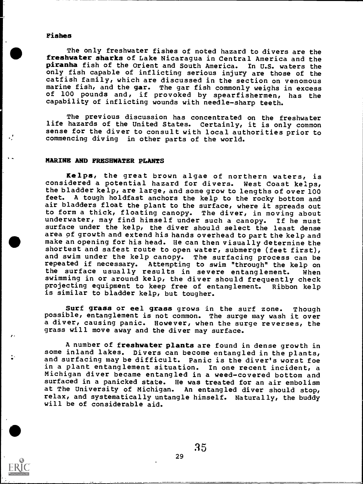#### Fishes

The only freshwater fishes of noted hazard to divers are the freshwater sharks of Lake Nicaragua in Central America and the piranha fish of the Orient and South America. In U.S. waters the only fish capable of inflicting serious injury are those of the catfish family, which are discussed in the section on venomous marine fish, and the gar. The gar fish commonly weighs in excess of 100 pounds and, if provoked by spearfishermen, has the capability of inflicting wounds with needle-sharp teeth.

The previous discussion has concentrated on the freshwater life hazards of the United States. Certainly, it is only common sense for the diver to consult with local authorities prior to commencing diving in other parts of the world.

# MARINE AND FRESHWATER PLANTS

Kelps, the great brown algae of northern waters, is considered a potential hazard for divers. West Coast kelps, the bladder kelp, are large, and some grow to lengths of over 100 feet. A tough holdfast anchors the kelp to the rocky bottom and air bladders float the plant to the surface, where it spreads out to form a thick, floating canopy. The diver, in moving about underwater, may find himself under such a canopy. If he must surface under the kelp, the diver should select the least dense area of growth and extend his hands overhead to part the kelp and make an opening for his head. He can then visually determine the shortest and safest route to open water, submerge (feet first), and swim under the kelp canopy. The surfacing process can be repeated if necessary. Attempting to swim "through" the kelp on the surface usually results in severe entanglement. When swimming in or around kelp, the diver should frequently check projecting equipment to keep free of entanglement. Ribbon kelp is similar to bladder kelp, but tougher.

ti<br>Santa Santa Salah Salah <mark>Gir</mark> Surf grass or eel grass grows in the surf zone. Though possible, entanglement is not common. The surge may wash it over a diver, causing panic. However, when the surge reverses, the grass will move away and the diver may surface.

> A number of freshwater plants are found in dense growth in some inland lakes. Divers can become entangled in the plants, and surfacing may be difficult. Panic is the diver's worst foe in a plant entanglement situation. In one recent incident, a Michigan diver became entangled in a weed-covered bottom and surfaced in a panicked state. He was treated for an air embolism at The University of Michigan. An entangled diver should stop, relax, and systematically untangle himself. Naturally, the buddy will be of considerable aid.

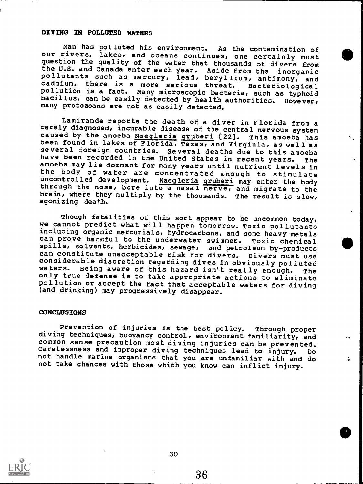# DIVING IN POLLUTED WATERS

Man has polluted his environment. As the contamination of our rivers, lakes, and oceans continues, one certainly must question the quality of the water that thousands of divers from the U.S. and Canada enter each year. Aside from the inorganic<br>pollutants such as mercury, lead, beryllium, antimony, and<br>cadmium, there is a more serious threat. Bacteriological pollution is a fact. Many microscopic bacteria, such as typhoid bacillus, can be easily detected by health authorities. However, many protozoans are not as easily detected.

Lamirande reports the death of a diver in Florida from a rarely diagnosed, incurable disease of the central nervous system caused by the amoeba Naegleria gruberi [22]. This amoeba has<br>been found in lakes of Florida, Texas, and Virginia, as well as several foreign countries. Several deaths due to this amoeba<br>have been recorded in the United States in recent years. The have been recorded in the United States in recent years. The<br>amoeba may lie dormant for many years until nutrient levels in<br>the body of water are concentrated onough to stimulate<br>uncontrolled development. Negleria gruberi through the nose, bore into a nasal nerve, and migrate to the brain, where they multiply by the thousands. The result is slow, agonizing death.

Though fatalities of this sort appear to be uncommon today, we cannot predict what will happen tomorrow. Toxic pollutants including organic mercurials, hydrocarbons, and some heavy metals can prove hazmful to the underwater swimmer. Toxic chemical spills, solvents, herbicides, sewage, and petroleum by-products can constitute unacceptable risk for divers. Divers must use considerable discretion regarding dives in obviously polluted<br>waters. Being aware of this bazard isn't really enough the Being aware of this hazard isn't really enough. The only true defense is to take appropriate actions to eliminate pollution or accept the fact that acceptable waters for diving (and drinking) may progressively disappear.

#### CONCLUSIONS

Prevention of injuries is the best policy. Through proper diving techniques, buoyancy control, environment familiarity, and common sense precaution most diving injuries can be prevented. Carelessness and improper diving techniques lead to injury. Do not handle marine organisms that you are unfamiliar with and do not take chances with those which you know can inflict injury.

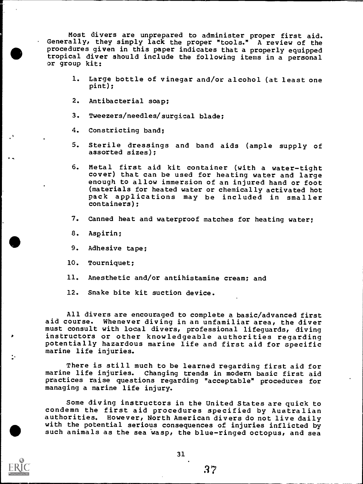Most divers are unprepared to administer proper first aid. Generally, they simply lack the proper "tools." A review of the procedures given in this paper indicates that a properly equipped tropical diver should include the following items in a personal or group kit:

- 1. Large bottle of vinegar and/or alcohol (at least one pint);
- 2. Antibacterial soap;
- 3. Tweezers/needles/surgical blade;
- 4. Constricting band;
- 5. Sterile dressings and band aids (ample supply of assorted sizes);
- 6. Metal first aid kit container (with a water-tight cover) that can be used for heating water and large enough to allow immersion of an injured hand or foot (materials for heated water or chemically activated hot pack applications may be included in smaller containers);
- 7. Canned heat and waterproof matches for heating water;
- 8. Aspirin;
- 9. Adhesive tape;
- 10. Tourniquet;
- 11. Anesthetic and/or antihistamine cream; and
- 12. Snake bite kit suction device.

All divers are encouraged to complete a basic/advanced first aid course. Whenever diving in an unfamiliar area, the diver must consult with local divers, professional lifeguards, diving instructors or other knowledgeable authorities regarding potentially hazardous marine life and first aid for specific marine life injuries.

There is still much to be learned regarding first aid for marine life injuries. Changing trends in modern basic first aid practices raise questions regarding "acceptable" procedures for managing a marine life injury.

Some diving instructors in the United States are quick to condemn the first aid procedures specified by Australian authorities. However, North American divers do not live daily with the potential serious consequences of injuries inflicted by such animals as the sea wasp, the blue-ringed octopus, and sea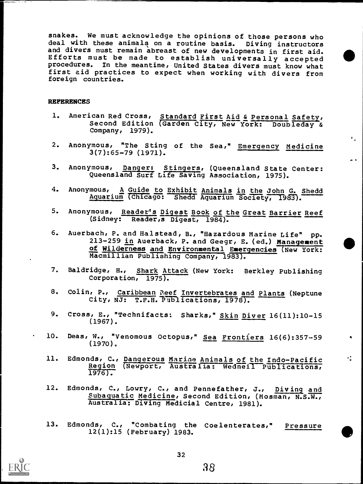snakes. We must acknowledge the opinions of those persons who deal with these animals on a routine basis. Diving instructors and divers must remain abreast of new developments in first aid. Efforts must be made to establish universally accepted procedures. In the meantime, United States divers must know what first aid practices to expect when working with divers from foreign countries.

#### **REFERENCES**

- 1. American Red Cross, Standard First Aid & Personal Safety, Second Edition Garden City, New York: Doubleday & Company, 1979).
- 2. Anonymous, "The Sting of the Sea," Emergency Medicine 3(7):65-79 (1971).

 $\epsilon_{\rm{eff}}$ 

- 3. Anonymous, Danger: Stingers, (Queensland State Center: Queensland Surf Life Saving Association, 1975).
- 4. Anonymous, A Guide to Exhibit Animals in the John G. Shedd Aquarium (Chicago: Shedd Aquarium Society, 1983).
- 5. Anonymous, Reader's Digest Book of the Great Barrier Reef (Sidney: Reader,s Digest, 1984).
- 6. Auerbach, P. and Halstead, B., "Hazardous Marine Life" pp. 213-259 in Auerback, P. and Geegr, E. (ed.) Management of Wilderness and Environmental Emergencies (New York: Macmillian Publishing Company, 1983).
- 7. Baldridge, H., Shark Attack (New York: Berkley Publishing Corporation,  $1975$ .
- 8. Colin, P., Caribbean Reef Invertebrates and Plants (Neptune City, NJ: T.F.H. Publications, 1978).
- 9. Cross, E., "Technifacts: Sharks," Skin Diver 16(11):10-15 (1967).
- 10. Deas, W., "Venomous Octopus," Sea Frontiers 16(6):357-59 (1970).
- 11. Edmonds, C., Dangerous Marine Animals of the Indo-Pacific Region (Newport, Australia: Wedneil Publications,  $1976$ .
- 12. Edmonds, C., Lowry, C., and Pennefather, J., Diving and Subaquatic Medicine, Second Edition, (Mosman, N.S.W., Australia: Diving Medicial Centre, 1981).
- 13. Edmonds, C., "Combating the Coelenterates," Pressure 12(1):15 (February) 1983.

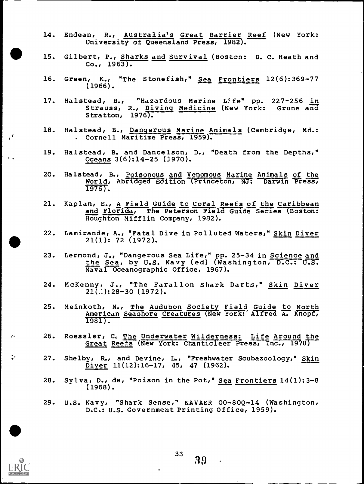- 14. Endean, R., Australia's Great Barrier Reef (New York: University of Queensland Press, 1982).
- 15. Gilbert, P., Sharks and Survival (Bostcn: D. C. Heath and Co.,  $1963$ .
- 16. Green, K., "The Stonefish," Sea Frontiers 12(6):369-77 (1966).
- l7. Halstead, B., "Hazardous Marine Life" pp. 227-256 <u>in</u> Strauss, R., <u>Diving Medicine</u> (New York: Grune a<del>nd</del><br>Stratton, 1976). Stratton, 1976).
- 18. Halstead, B., Dangerous Marine Animals (Cambridge, Md.: . Cornell Maritime Press, 1959).
- 19. Halstead, B. and Dancelson, D., "Death from the Depths," Oceans 3(6):14-25 (1970).
- 20. Halstead, B., Poisonous and Venomous Marine Animals of the World, Abridged Edition Princeton, NJ: Darwin Press,  $1976$ .
- 21. Kaplan, E., A Field Guide to Coral Reefs of the Caribbean and Florida, The Peterson Field Guide Series (Boston: Houghton Mifflin Company, 1982).
- 22. Lamirande, A., "Fatal Dive in Polluted Waters," Skin Diver 21(1): 72 (1972).
- 23. Lermond, J., "Dangerous Sea Life," pp. 25-34 in Science and the Sea, by U.S. Navy (ed) (Washington, D.C.: U.S. Naval Oceanographic Office, 1967).
- 24. Mc Kenny, J., "The Farallon Shark Darts," Skin Diver  $21\overline{(.)}$ : 28-30 (1972).
- 25. Meinkoth, N., The Audubon Society Field Guide to North American Seashore Creatures (New York: Alfred A. Knopf,  $1981$ .
- 26. Roessler, C. The Underwater Wilderness: Life Around the Great Reefs (New York: Chanticleer Press, Inc., 1978)
- 27. Shelby, R., and Devine, L., "Freshwater Scubazoology," Skin Diver 11(12):16-17, 45, 47 (1962).
- 28. Sylva, D., de, "Poison in the Pot," Sea Frontiers 14(1):3-8 (1968).
- 29. U.S. Navy, "Shark Sense," NAVAER 00-80Q-14 (Washington, D.C.: U.S. Government Printing Office, 1959).



z.

2.

 $\mathcal{L}$ 

 $33 \quad 39$